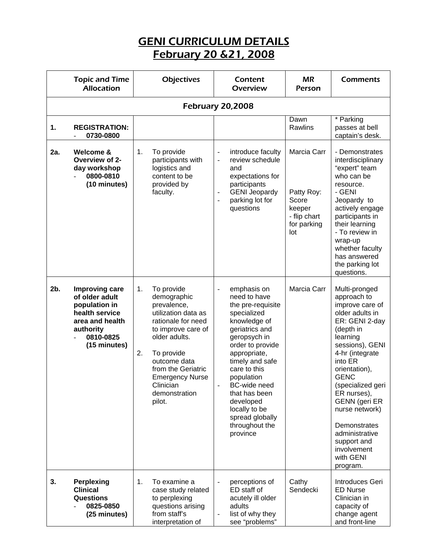## GENI CURRICULUM DETAILS February 20 &21, 2008

|     | <b>Topic and Time</b><br><b>Allocation</b>                                                                                       | <b>Objectives</b>                                                                                                                                                                                                                                              | Content<br><b>Overview</b>                                                                                                                                                                                                                                                                                                                      | <b>MR</b><br>Person                                                                | <b>Comments</b>                                                                                                                                                                                                                                                                                                                                                       |  |  |  |  |
|-----|----------------------------------------------------------------------------------------------------------------------------------|----------------------------------------------------------------------------------------------------------------------------------------------------------------------------------------------------------------------------------------------------------------|-------------------------------------------------------------------------------------------------------------------------------------------------------------------------------------------------------------------------------------------------------------------------------------------------------------------------------------------------|------------------------------------------------------------------------------------|-----------------------------------------------------------------------------------------------------------------------------------------------------------------------------------------------------------------------------------------------------------------------------------------------------------------------------------------------------------------------|--|--|--|--|
|     | <b>February 20,2008</b>                                                                                                          |                                                                                                                                                                                                                                                                |                                                                                                                                                                                                                                                                                                                                                 |                                                                                    |                                                                                                                                                                                                                                                                                                                                                                       |  |  |  |  |
| 1.  | <b>REGISTRATION:</b><br>0730-0800                                                                                                |                                                                                                                                                                                                                                                                |                                                                                                                                                                                                                                                                                                                                                 | Dawn<br>Rawlins                                                                    | * Parking<br>passes at bell<br>captain's desk.                                                                                                                                                                                                                                                                                                                        |  |  |  |  |
| 2a. | Welcome &<br>Overview of 2-<br>day workshop<br>0800-0810<br>(10 minutes)                                                         | 1.<br>To provide<br>participants with<br>logistics and<br>content to be<br>provided by<br>faculty.                                                                                                                                                             | introduce faculty<br>$\frac{1}{2}$<br>review schedule<br>÷,<br>and<br>expectations for<br>participants<br><b>GENI Jeopardy</b><br>$\frac{1}{2}$<br>parking lot for<br>$\blacksquare$<br>questions                                                                                                                                               | Marcia Carr<br>Patty Roy:<br>Score<br>keeper<br>- flip chart<br>for parking<br>lot | - Demonstrates<br>interdisciplinary<br>"expert" team<br>who can be<br>resource.<br>- GENI<br>Jeopardy to<br>actively engage<br>participants in<br>their learning<br>- To review in<br>wrap-up<br>whether faculty<br>has answered<br>the parking lot<br>questions.                                                                                                     |  |  |  |  |
| 2b. | Improving care<br>of older adult<br>population in<br>health service<br>area and health<br>authority<br>0810-0825<br>(15 minutes) | 1.<br>To provide<br>demographic<br>prevalence,<br>utilization data as<br>rationale for need<br>to improve care of<br>older adults.<br>2.<br>To provide<br>outcome data<br>from the Geriatric<br><b>Emergency Nurse</b><br>Clinician<br>demonstration<br>pilot. | emphasis on<br>$\blacksquare$<br>need to have<br>the pre-requisite<br>specialized<br>knowledge of<br>geriatrics and<br>geropsych in<br>order to provide<br>appropriate,<br>timely and safe<br>care to this<br>population<br><b>BC-wide need</b><br>that has been<br>developed<br>locally to be<br>spread globally<br>throughout the<br>province | Marcia Carr                                                                        | Multi-pronged<br>approach to<br>improve care of<br>older adults in<br>ER: GENI 2-day<br>(depth in<br>learning<br>sessions), GENI<br>4-hr (integrate<br>into ER<br>orientation),<br><b>GENC</b><br>(specialized geri<br>ER nurses),<br><b>GENN</b> (geri ER<br>nurse network)<br>Demonstrates<br>administrative<br>support and<br>involvement<br>with GENI<br>program. |  |  |  |  |
| 3.  | <b>Perplexing</b><br><b>Clinical</b><br>Questions<br>0825-0850<br>(25 minutes)                                                   | 1.<br>To examine a<br>case study related<br>to perplexing<br>questions arising<br>from staff's<br>interpretation of                                                                                                                                            | perceptions of<br>ED staff of<br>acutely ill older<br>adults<br>list of why they<br>see "problems"                                                                                                                                                                                                                                              | Cathy<br>Sendecki                                                                  | Introduces Geri<br><b>ED Nurse</b><br>Clinician in<br>capacity of<br>change agent<br>and front-line                                                                                                                                                                                                                                                                   |  |  |  |  |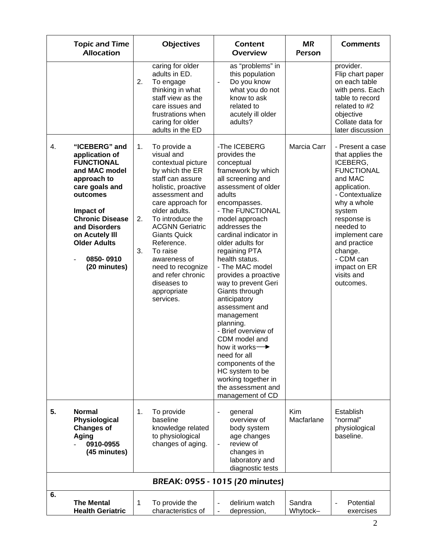|    | <b>Topic and Time</b><br><b>Allocation</b>                                                                                                                                                                                                       |                | <b>Objectives</b>                                                                                                                                                                                                                                                                                                                                                          | Content<br><b>Overview</b>                                                                                                                                                                                                                                                                                                                                                                                                                                                                                                                                                                                       | <b>MR</b><br>Person | <b>Comments</b>                                                                                                                                                                                                                                                               |
|----|--------------------------------------------------------------------------------------------------------------------------------------------------------------------------------------------------------------------------------------------------|----------------|----------------------------------------------------------------------------------------------------------------------------------------------------------------------------------------------------------------------------------------------------------------------------------------------------------------------------------------------------------------------------|------------------------------------------------------------------------------------------------------------------------------------------------------------------------------------------------------------------------------------------------------------------------------------------------------------------------------------------------------------------------------------------------------------------------------------------------------------------------------------------------------------------------------------------------------------------------------------------------------------------|---------------------|-------------------------------------------------------------------------------------------------------------------------------------------------------------------------------------------------------------------------------------------------------------------------------|
|    |                                                                                                                                                                                                                                                  | 2.             | caring for older<br>adults in ED.<br>To engage<br>thinking in what<br>staff view as the<br>care issues and<br>frustrations when<br>caring for older<br>adults in the ED                                                                                                                                                                                                    | as "problems" in<br>this population<br>Do you know<br>$\frac{1}{2}$<br>what you do not<br>know to ask<br>related to<br>acutely ill older<br>adults?                                                                                                                                                                                                                                                                                                                                                                                                                                                              |                     | provider.<br>Flip chart paper<br>on each table<br>with pens. Each<br>table to record<br>related to #2<br>objective<br>Collate data for<br>later discussion                                                                                                                    |
| 4. | "ICEBERG" and<br>application of<br><b>FUNCTIONAL</b><br>and MAC model<br>approach to<br>care goals and<br>outcomes<br>Impact of<br><b>Chronic Disease</b><br>and Disorders<br>on Acutely III<br><b>Older Adults</b><br>0850-0910<br>(20 minutes) | 1.<br>2.<br>3. | To provide a<br>visual and<br>contextual picture<br>by which the ER<br>staff can assure<br>holistic, proactive<br>assessment and<br>care approach for<br>older adults.<br>To introduce the<br><b>ACGNN Geriatric</b><br><b>Giants Quick</b><br>Reference.<br>To raise<br>awareness of<br>need to recognize<br>and refer chronic<br>diseases to<br>appropriate<br>services. | -The ICEBERG<br>provides the<br>conceptual<br>framework by which<br>all screening and<br>assessment of older<br>adults<br>encompasses.<br>- The FUNCTIONAL<br>model approach<br>addresses the<br>cardinal indicator in<br>older adults for<br>regaining PTA<br>health status.<br>- The MAC model<br>provides a proactive<br>way to prevent Geri<br>Giants through<br>anticipatory<br>assessment and<br>management<br>planning.<br>- Brief overview of<br>CDM model and<br>how it works-<br>need for all<br>components of the<br>HC system to be<br>working together in<br>the assessment and<br>management of CD | Marcia Carr         | - Present a case<br>that applies the<br>ICEBERG,<br><b>FUNCTIONAL</b><br>and MAC<br>application.<br>- Contextualize<br>why a whole<br>system<br>response is<br>needed to<br>implement care<br>and practice<br>change.<br>- CDM can<br>impact on ER<br>visits and<br>outcomes. |
| 5. | <b>Normal</b><br>Physiological<br><b>Changes of</b><br><b>Aging</b><br>0910-0955<br>(45 minutes)                                                                                                                                                 | 1.             | To provide<br>baseline<br>knowledge related<br>to physiological<br>changes of aging.                                                                                                                                                                                                                                                                                       | general<br>$\frac{1}{2}$<br>overview of<br>body system<br>age changes<br>review of<br>changes in<br>laboratory and<br>diagnostic tests                                                                                                                                                                                                                                                                                                                                                                                                                                                                           | Kim<br>Macfarlane   | Establish<br>"normal"<br>physiological<br>baseline.                                                                                                                                                                                                                           |
|    |                                                                                                                                                                                                                                                  |                |                                                                                                                                                                                                                                                                                                                                                                            | BREAK: 0955 - 1015 (20 minutes)                                                                                                                                                                                                                                                                                                                                                                                                                                                                                                                                                                                  |                     |                                                                                                                                                                                                                                                                               |
| 6. | <b>The Mental</b><br><b>Health Geriatric</b>                                                                                                                                                                                                     | 1              | To provide the<br>characteristics of                                                                                                                                                                                                                                                                                                                                       | delirium watch<br>depression,                                                                                                                                                                                                                                                                                                                                                                                                                                                                                                                                                                                    | Sandra<br>Whytock-  | Potential<br>exercises                                                                                                                                                                                                                                                        |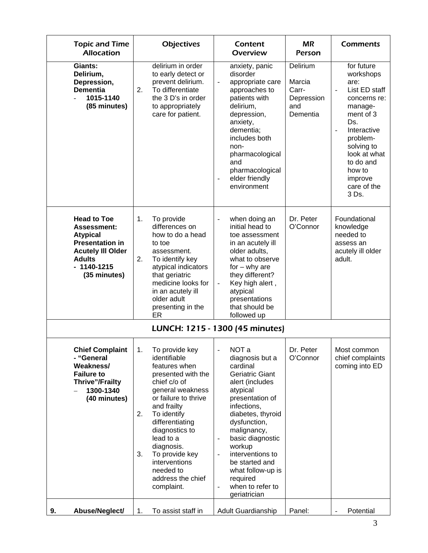| <b>Topic and Time</b><br><b>Allocation</b>                                                                                                                  | <b>Objectives</b>                                                                                                                                                                                                                                                                                                                    | Content<br><b>Overview</b>                                                                                                                                                                                                                                                                                                                                                                                        | <b>MR</b><br>Person                                          | <b>Comments</b>                                                                                                                                                                                                                            |
|-------------------------------------------------------------------------------------------------------------------------------------------------------------|--------------------------------------------------------------------------------------------------------------------------------------------------------------------------------------------------------------------------------------------------------------------------------------------------------------------------------------|-------------------------------------------------------------------------------------------------------------------------------------------------------------------------------------------------------------------------------------------------------------------------------------------------------------------------------------------------------------------------------------------------------------------|--------------------------------------------------------------|--------------------------------------------------------------------------------------------------------------------------------------------------------------------------------------------------------------------------------------------|
| Giants:<br>Delirium,<br>Depression,<br><b>Dementia</b><br>1015-1140<br>(85 minutes)                                                                         | delirium in order<br>to early detect or<br>prevent delirium.<br>To differentiate<br>2.<br>the 3 D's in order<br>to appropriately<br>care for patient.                                                                                                                                                                                | anxiety, panic<br>disorder<br>appropriate care<br>$\blacksquare$<br>approaches to<br>patients with<br>delirium,<br>depression,<br>anxiety,<br>dementia;<br>includes both<br>non-<br>pharmacological<br>and<br>pharmacological<br>elder friendly<br>$\overline{\phantom{a}}$<br>environment                                                                                                                        | Delirium<br>Marcia<br>Carr-<br>Depression<br>and<br>Dementia | for future<br>workshops<br>are:<br>List ED staff<br>÷,<br>concerns re:<br>manage-<br>ment of 3<br>Ds.<br>Interactive<br>$\overline{a}$<br>problem-<br>solving to<br>look at what<br>to do and<br>how to<br>improve<br>care of the<br>3 Ds. |
| <b>Head to Toe</b><br>Assessment:<br><b>Atypical</b><br><b>Presentation in</b><br><b>Acutely III Older</b><br><b>Adults</b><br>$-1140-1215$<br>(35 minutes) | To provide<br>1.<br>differences on<br>how to do a head<br>to toe<br>assessment.<br>2.<br>To identify key<br>atypical indicators<br>that geriatric<br>medicine looks for<br>in an acutely ill<br>older adult<br>presenting in the<br>ER                                                                                               | when doing an<br>$\frac{1}{2}$<br>initial head to<br>toe assessment<br>in an acutely ill<br>older adults,<br>what to observe<br>$for - why are$<br>they different?<br>Key high alert,<br>$\overline{\phantom{a}}$<br>atypical<br>presentations<br>that should be<br>followed up                                                                                                                                   | Dr. Peter<br>O'Connor                                        | Foundational<br>knowledge<br>needed to<br>assess an<br>acutely ill older<br>adult.                                                                                                                                                         |
|                                                                                                                                                             |                                                                                                                                                                                                                                                                                                                                      | LUNCH: 1215 - 1300 (45 minutes)                                                                                                                                                                                                                                                                                                                                                                                   |                                                              |                                                                                                                                                                                                                                            |
| <b>Chief Complaint</b><br>- "General<br>Weakness/<br><b>Failure to</b><br><b>Thrive"/Frailty</b><br>1300-1340<br>(40 minutes)                               | 1.<br>To provide key<br>identifiable<br>features when<br>presented with the<br>chief c/o of<br>general weakness<br>or failure to thrive<br>and frailty<br>2.<br>To identify<br>differentiating<br>diagnostics to<br>lead to a<br>diagnosis.<br>3.<br>To provide key<br>interventions<br>needed to<br>address the chief<br>complaint. | NOT a<br>$\blacksquare$<br>diagnosis but a<br>cardinal<br>Geriatric Giant<br>alert (includes<br>atypical<br>presentation of<br>infections,<br>diabetes, thyroid<br>dysfunction,<br>malignancy,<br>basic diagnostic<br>$\overline{\phantom{a}}$<br>workup<br>interventions to<br>$\overline{\phantom{a}}$<br>be started and<br>what follow-up is<br>required<br>when to refer to<br>$\overline{a}$<br>geriatrician | Dr. Peter<br>O'Connor                                        | Most common<br>chief complaints<br>coming into ED                                                                                                                                                                                          |
| Abuse/Neglect/<br>9.                                                                                                                                        | 1.<br>To assist staff in                                                                                                                                                                                                                                                                                                             | Adult Guardianship                                                                                                                                                                                                                                                                                                                                                                                                | Panel:                                                       | Potential                                                                                                                                                                                                                                  |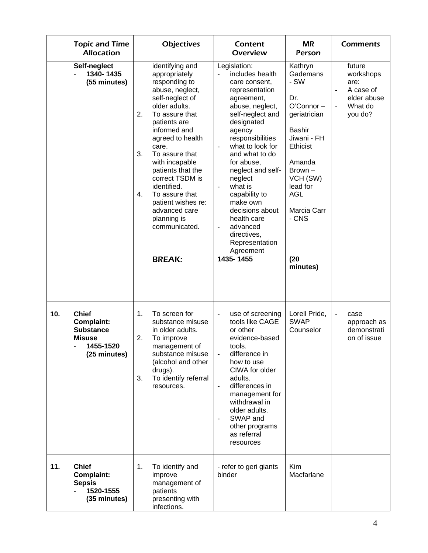| <b>Topic and Time</b><br><b>Allocation</b>                                                                 | <b>Objectives</b>                                                                                                                                                                                                                                                                                                                                                                                              | Content<br><b>Overview</b>                                                                                                                                                                                                                                                                                                                                                                                                           | <b>MR</b><br>Person                                                                                                                                                                                                      | <b>Comments</b>                                                                                           |
|------------------------------------------------------------------------------------------------------------|----------------------------------------------------------------------------------------------------------------------------------------------------------------------------------------------------------------------------------------------------------------------------------------------------------------------------------------------------------------------------------------------------------------|--------------------------------------------------------------------------------------------------------------------------------------------------------------------------------------------------------------------------------------------------------------------------------------------------------------------------------------------------------------------------------------------------------------------------------------|--------------------------------------------------------------------------------------------------------------------------------------------------------------------------------------------------------------------------|-----------------------------------------------------------------------------------------------------------|
| Self-neglect<br>1340-1435<br>(55 minutes)                                                                  | identifying and<br>appropriately<br>responding to<br>abuse, neglect,<br>self-neglect of<br>older adults.<br>2.<br>To assure that<br>patients are<br>informed and<br>agreed to health<br>care.<br>3.<br>To assure that<br>with incapable<br>patients that the<br>correct TSDM is<br>identified.<br>4.<br>To assure that<br>patient wishes re:<br>advanced care<br>planning is<br>communicated.<br><b>BREAK:</b> | Legislation:<br>includes health<br>$\overline{\phantom{a}}$<br>care consent,<br>representation<br>agreement,<br>abuse, neglect,<br>self-neglect and<br>designated<br>agency<br>responsibilities<br>what to look for<br>and what to do<br>for abuse,<br>neglect and self-<br>neglect<br>what is<br>capability to<br>make own<br>decisions about<br>health care<br>advanced<br>directives,<br>Representation<br>Agreement<br>1435-1455 | Kathryn<br>Gademans<br>- SW<br>Dr.<br>O'Connor-<br>geriatrician<br><b>Bashir</b><br>Jiwani - FH<br><b>Ethicist</b><br>Amanda<br>Brown-<br>VCH (SW)<br>lead for<br><b>AGL</b><br>Marcia Carr<br>- CNS<br>(20)<br>minutes) | future<br>workshops<br>are:<br>A case of<br>$\overline{\phantom{a}}$<br>elder abuse<br>What do<br>you do? |
| 10.<br><b>Chief</b><br><b>Complaint:</b><br><b>Substance</b><br><b>Misuse</b><br>1455-1520<br>(25 minutes) | 1.<br>To screen for<br>substance misuse<br>in older adults.<br>2.<br>To improve<br>management of<br>substance misuse<br>(alcohol and other<br>drugs).<br>3.<br>To identify referral<br>resources.                                                                                                                                                                                                              | use of screening<br>tools like CAGE<br>or other<br>evidence-based<br>tools.<br>difference in<br>how to use<br>CIWA for older<br>adults.<br>differences in<br>$\overline{\phantom{a}}$<br>management for<br>withdrawal in<br>older adults.<br>SWAP and<br>other programs<br>as referral<br>resources                                                                                                                                  | Lorell Pride,<br><b>SWAP</b><br>Counselor                                                                                                                                                                                | $\frac{1}{2}$<br>case<br>approach as<br>demonstrati<br>on of issue                                        |
| 11.<br><b>Chief</b><br>Complaint:<br><b>Sepsis</b><br>1520-1555<br>(35 minutes)                            | 1.<br>To identify and<br>improve<br>management of<br>patients<br>presenting with<br>infections.                                                                                                                                                                                                                                                                                                                | - refer to geri giants<br>binder                                                                                                                                                                                                                                                                                                                                                                                                     | Kim<br>Macfarlane                                                                                                                                                                                                        |                                                                                                           |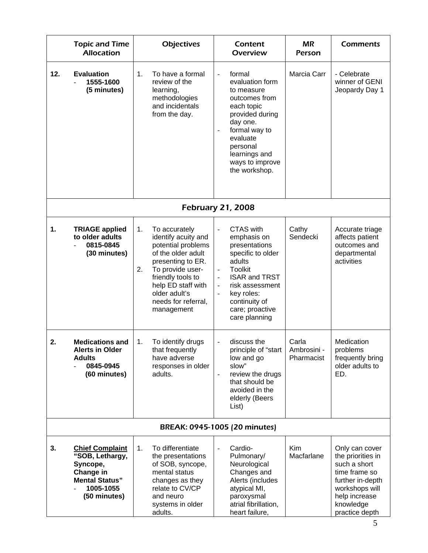|     | <b>Topic and Time</b><br><b>Allocation</b>                                                                               | <b>Objectives</b>                                                                                                                                                                                                                      | Content<br><b>Overview</b>                                                                                                                                                                                                                                                                                                    | <b>MR</b><br>Person                | <b>Comments</b>                                                                                                                                            |
|-----|--------------------------------------------------------------------------------------------------------------------------|----------------------------------------------------------------------------------------------------------------------------------------------------------------------------------------------------------------------------------------|-------------------------------------------------------------------------------------------------------------------------------------------------------------------------------------------------------------------------------------------------------------------------------------------------------------------------------|------------------------------------|------------------------------------------------------------------------------------------------------------------------------------------------------------|
| 12. | <b>Evaluation</b><br>1555-1600<br>(5 minutes)                                                                            | To have a formal<br>1.<br>review of the<br>learning,<br>methodologies<br>and incidentals<br>from the day.                                                                                                                              | formal<br>$\overline{a}$<br>evaluation form<br>to measure<br>outcomes from<br>each topic<br>provided during<br>day one.<br>formal way to<br>$\overline{a}$<br>evaluate<br>personal<br>learnings and<br>ways to improve<br>the workshop.                                                                                       | Marcia Carr                        | - Celebrate<br>winner of GENI<br>Jeopardy Day 1                                                                                                            |
|     |                                                                                                                          |                                                                                                                                                                                                                                        | <b>February 21, 2008</b>                                                                                                                                                                                                                                                                                                      |                                    |                                                                                                                                                            |
| 1.  | <b>TRIAGE applied</b><br>to older adults<br>0815-0845<br>(30 minutes)                                                    | To accurately<br>1.<br>identify acuity and<br>potential problems<br>of the older adult<br>presenting to ER.<br>2.<br>To provide user-<br>friendly tools to<br>help ED staff with<br>older adult's<br>needs for referral,<br>management | <b>CTAS with</b><br>$\overline{a}$<br>emphasis on<br>presentations<br>specific to older<br>adults<br><b>Toolkit</b><br>$\blacksquare$<br><b>ISAR and TRST</b><br>$\overline{a}$<br>risk assessment<br>$\overline{\phantom{a}}$<br>key roles:<br>$\overline{\phantom{a}}$<br>continuity of<br>care; proactive<br>care planning | Cathy<br>Sendecki                  | Accurate triage<br>affects patient<br>outcomes and<br>departmental<br>activities                                                                           |
| 2.  | <b>Medications and</b><br><b>Alerts in Older</b><br><b>Adults</b><br>0845-0945<br>(60 minutes)                           | To identify drugs<br>1.<br>that frequently<br>have adverse<br>responses in older<br>adults.                                                                                                                                            | discuss the<br>principle of "start<br>low and go<br>slow"<br>review the drugs<br>$\blacksquare$<br>that should be<br>avoided in the<br>elderly (Beers<br>List)                                                                                                                                                                | Carla<br>Ambrosini -<br>Pharmacist | Medication<br>problems<br>frequently bring<br>older adults to<br>ED.                                                                                       |
|     |                                                                                                                          |                                                                                                                                                                                                                                        | BREAK: 0945-1005 (20 minutes)                                                                                                                                                                                                                                                                                                 |                                    |                                                                                                                                                            |
| 3.  | <b>Chief Complaint</b><br>"SOB, Lethargy,<br>Syncope,<br>Change in<br><b>Mental Status"</b><br>1005-1055<br>(50 minutes) | 1.<br>To differentiate<br>the presentations<br>of SOB, syncope,<br>mental status<br>changes as they<br>relate to CV/CP<br>and neuro<br>systems in older<br>adults.                                                                     | Cardio-<br>$\overline{a}$<br>Pulmonary/<br>Neurological<br>Changes and<br>Alerts (includes<br>atypical MI,<br>paroxysmal<br>atrial fibrillation,<br>heart failure,                                                                                                                                                            | Kim<br>Macfarlane                  | Only can cover<br>the priorities in<br>such a short<br>time frame so<br>further in-depth<br>workshops will<br>help increase<br>knowledge<br>practice depth |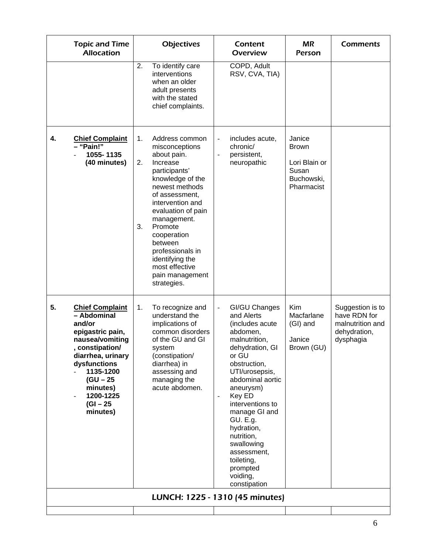|    | <b>Topic and Time</b><br><b>Allocation</b>                                                                                                                                                                                                       |                | <b>Objectives</b>                                                                                                                                                                                                                                                                                                             | Content<br><b>Overview</b>                                                                                                                                                                                                                                                                                                                                                               | <b>MR</b><br>Person                                                          | <b>Comments</b>                                                                   |  |  |  |
|----|--------------------------------------------------------------------------------------------------------------------------------------------------------------------------------------------------------------------------------------------------|----------------|-------------------------------------------------------------------------------------------------------------------------------------------------------------------------------------------------------------------------------------------------------------------------------------------------------------------------------|------------------------------------------------------------------------------------------------------------------------------------------------------------------------------------------------------------------------------------------------------------------------------------------------------------------------------------------------------------------------------------------|------------------------------------------------------------------------------|-----------------------------------------------------------------------------------|--|--|--|
|    |                                                                                                                                                                                                                                                  | 2.             | To identify care<br>interventions<br>when an older<br>adult presents<br>with the stated<br>chief complaints.                                                                                                                                                                                                                  | COPD, Adult<br>RSV, CVA, TIA)                                                                                                                                                                                                                                                                                                                                                            |                                                                              |                                                                                   |  |  |  |
| 4. | <b>Chief Complaint</b><br>- "Pain!"<br>1055-1135<br>(40 minutes)                                                                                                                                                                                 | 1.<br>2.<br>3. | Address common<br>misconceptions<br>about pain.<br>Increase<br>participants'<br>knowledge of the<br>newest methods<br>of assessment,<br>intervention and<br>evaluation of pain<br>management.<br>Promote<br>cooperation<br>between<br>professionals in<br>identifying the<br>most effective<br>pain management<br>strategies. | includes acute,<br>$\frac{1}{2}$<br>chronic/<br>persistent,<br>neuropathic                                                                                                                                                                                                                                                                                                               | Janice<br><b>Brown</b><br>Lori Blain or<br>Susan<br>Buchowski,<br>Pharmacist |                                                                                   |  |  |  |
| 5. | <b>Chief Complaint</b><br>- Abdominal<br>and/or<br>epigastric pain,<br>nausea/vomiting<br>, constipation/<br>diarrhea, urinary<br>dysfunctions<br>1135-1200<br>$(GU - 25)$<br>minutes)<br>1200-1225<br>$\overline{a}$<br>$(GI - 25)$<br>minutes) | 1.             | To recognize and<br>understand the<br>implications of<br>common disorders<br>of the GU and GI<br>system<br>(constipation/<br>diarrhea) in<br>assessing and<br>managing the<br>acute abdomen.                                                                                                                                  | GI/GU Changes<br>$\blacksquare$<br>and Alerts<br>(includes acute<br>abdomen,<br>malnutrition,<br>dehydration, GI<br>or GU<br>obstruction,<br>UTI/urosepsis,<br>abdominal aortic<br>aneurysm)<br>Key ED<br>$\blacksquare$<br>interventions to<br>manage GI and<br>GU. E.g.<br>hydration,<br>nutrition,<br>swallowing<br>assessment,<br>toileting,<br>prompted<br>voiding,<br>constipation | <b>Kim</b><br>Macfarlane<br>(GI) and<br>Janice<br>Brown (GU)                 | Suggestion is to<br>have RDN for<br>malnutrition and<br>dehydration,<br>dysphagia |  |  |  |
|    |                                                                                                                                                                                                                                                  |                |                                                                                                                                                                                                                                                                                                                               | LUNCH: 1225 - 1310 (45 minutes)                                                                                                                                                                                                                                                                                                                                                          |                                                                              |                                                                                   |  |  |  |
|    |                                                                                                                                                                                                                                                  |                |                                                                                                                                                                                                                                                                                                                               |                                                                                                                                                                                                                                                                                                                                                                                          |                                                                              |                                                                                   |  |  |  |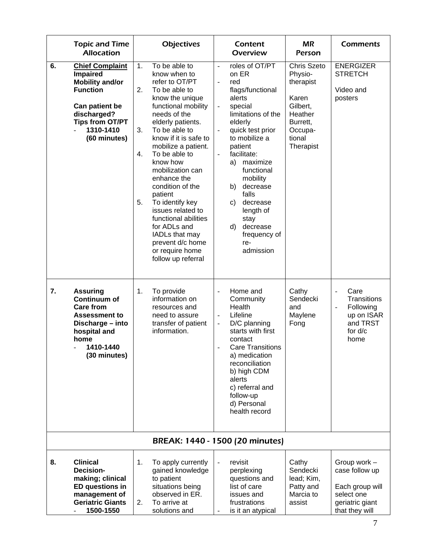|    | <b>Topic and Time</b><br><b>Allocation</b>                                                                                                                                     | <b>Objectives</b>                                                                                                                                                                                                                                                                                                                                                                                                                                                                                            | Content<br><b>Overview</b>                                                                                                                                                                                                                                                                                                                                                                                                 | <b>MR</b><br>Person                                                                                                      | <b>Comments</b>                                                                                           |
|----|--------------------------------------------------------------------------------------------------------------------------------------------------------------------------------|--------------------------------------------------------------------------------------------------------------------------------------------------------------------------------------------------------------------------------------------------------------------------------------------------------------------------------------------------------------------------------------------------------------------------------------------------------------------------------------------------------------|----------------------------------------------------------------------------------------------------------------------------------------------------------------------------------------------------------------------------------------------------------------------------------------------------------------------------------------------------------------------------------------------------------------------------|--------------------------------------------------------------------------------------------------------------------------|-----------------------------------------------------------------------------------------------------------|
| 6. | <b>Chief Complaint</b><br><b>Impaired</b><br><b>Mobility and/or</b><br><b>Function</b><br>Can patient be<br>discharged?<br><b>Tips from OT/PT</b><br>1310-1410<br>(60 minutes) | To be able to<br>1.<br>know when to<br>refer to OT/PT<br>2.<br>To be able to<br>know the unique<br>functional mobility<br>needs of the<br>elderly patients.<br>3.<br>To be able to<br>know if it is safe to<br>mobilize a patient.<br>4.<br>To be able to<br>know how<br>mobilization can<br>enhance the<br>condition of the<br>patient<br>5.<br>To identify key<br>issues related to<br>functional abilities<br>for ADLs and<br>IADLs that may<br>prevent d/c home<br>or require home<br>follow up referral | roles of OT/PT<br>$\overline{\phantom{a}}$<br>on ER<br>red<br>$\frac{1}{2}$<br>flags/functional<br>alerts<br>special<br>$\overline{\phantom{a}}$<br>limitations of the<br>elderly<br>quick test prior<br>to mobilize a<br>patient<br>facilitate:<br>÷,<br>maximize<br>a)<br>functional<br>mobility<br>decrease<br>b)<br>falls<br>decrease<br>C)<br>length of<br>stay<br>decrease<br>d)<br>frequency of<br>re-<br>admission | <b>Chris Szeto</b><br>Physio-<br>therapist<br>Karen<br>Gilbert,<br>Heather<br>Burrett,<br>Occupa-<br>tional<br>Therapist | <b>ENERGIZER</b><br><b>STRETCH</b><br>Video and<br>posters                                                |
| 7. | <b>Assuring</b><br><b>Continuum of</b><br><b>Care from</b><br><b>Assessment to</b><br>Discharge - into<br>hospital and<br>home<br>1410-1440<br>(30 minutes)                    | 1.<br>To provide<br>information on<br>resources and<br>need to assure<br>transfer of patient<br>information.                                                                                                                                                                                                                                                                                                                                                                                                 | Home and<br>÷,<br>Community<br>Health<br>Lifeline<br>$\overline{\phantom{a}}$<br>D/C planning<br>$\frac{1}{2}$<br>starts with first<br>contact<br><b>Care Transitions</b><br>a) medication<br>reconciliation<br>b) high CDM<br>alerts<br>c) referral and<br>follow-up<br>d) Personal<br>health record                                                                                                                      | Cathy<br>Sendecki<br>and<br>Maylene<br>Fong                                                                              | Care<br>Transitions<br>Following<br>$\overline{\phantom{0}}$<br>up on ISAR<br>and TRST<br>for d/c<br>home |
|    |                                                                                                                                                                                |                                                                                                                                                                                                                                                                                                                                                                                                                                                                                                              | BREAK: 1440 - 1500 (20 minutes)                                                                                                                                                                                                                                                                                                                                                                                            |                                                                                                                          |                                                                                                           |
| 8. | <b>Clinical</b><br><b>Decision-</b><br>making; clinical<br><b>ED</b> questions in<br>management of<br><b>Geriatric Giants</b><br>1500-1550                                     | 1.<br>To apply currently<br>gained knowledge<br>to patient<br>situations being<br>observed in ER.<br>2.<br>To arrive at<br>solutions and                                                                                                                                                                                                                                                                                                                                                                     | revisit<br>$\frac{1}{2}$<br>perplexing<br>questions and<br>list of care<br>issues and<br>frustrations<br>is it an atypical                                                                                                                                                                                                                                                                                                 | Cathy<br>Sendecki<br>lead; Kim,<br>Patty and<br>Marcia to<br>assist                                                      | Group work -<br>case follow up<br>Each group will<br>select one<br>geriatric giant<br>that they will      |